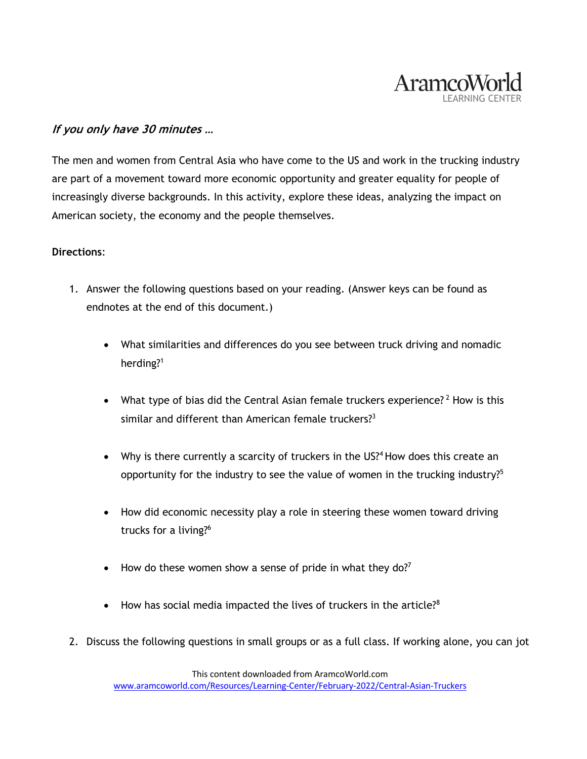

## **If you only have 30 minutes …**

The men and women from Central Asia who have come to the US and work in the trucking industry are part of a movement toward more economic opportunity and greater equality for people of increasingly diverse backgrounds. In this activity, explore these ideas, analyzing the impact on American society, the economy and the people themselves.

## **Directions**:

- 1. Answer the following questions based on your reading. (Answer keys can be found as endnotes at the end of this document.)
	- What similarities and differences do you see between truck driving and nomadic herding?<sup>1</sup>
	- What type of bias did the Central Asian female truckers experience?<sup>2</sup> How is this similar and different than American female truckers?<sup>3</sup>
	- Why is there currently a scarcity of truckers in the US?<sup>4</sup> How does this create an opportunity for the industry to see the value of women in the trucking industry?<sup>5</sup>
	- How did economic necessity play a role in steering these women toward driving trucks for a living?<sup>6</sup>
	- How do these women show a sense of pride in what they do? $7$
	- How has social media impacted the lives of truckers in the article?<sup>8</sup>
- 2. Discuss the following questions in small groups or as a full class. If working alone, you can jot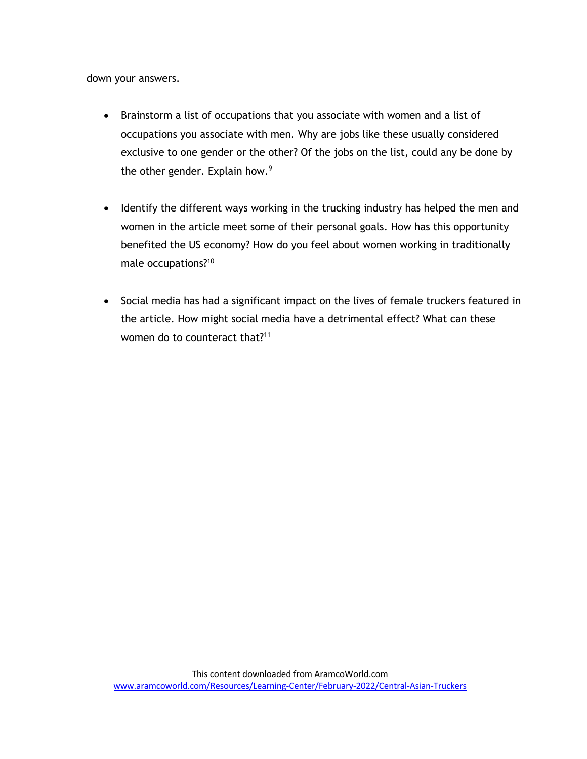down your answers.

- Brainstorm a list of occupations that you associate with women and a list of occupations you associate with men. Why are jobs like these usually considered exclusive to one gender or the other? Of the jobs on the list, could any be done by the other gender. Explain how.<sup>9</sup>
- Identify the different ways working in the trucking industry has helped the men and women in the article meet some of their personal goals. How has this opportunity benefited the US economy? How do you feel about women working in traditionally male occupations?10
- Social media has had a significant impact on the lives of female truckers featured in the article. How might social media have a detrimental effect? What can these women do to counteract that?<sup>11</sup>